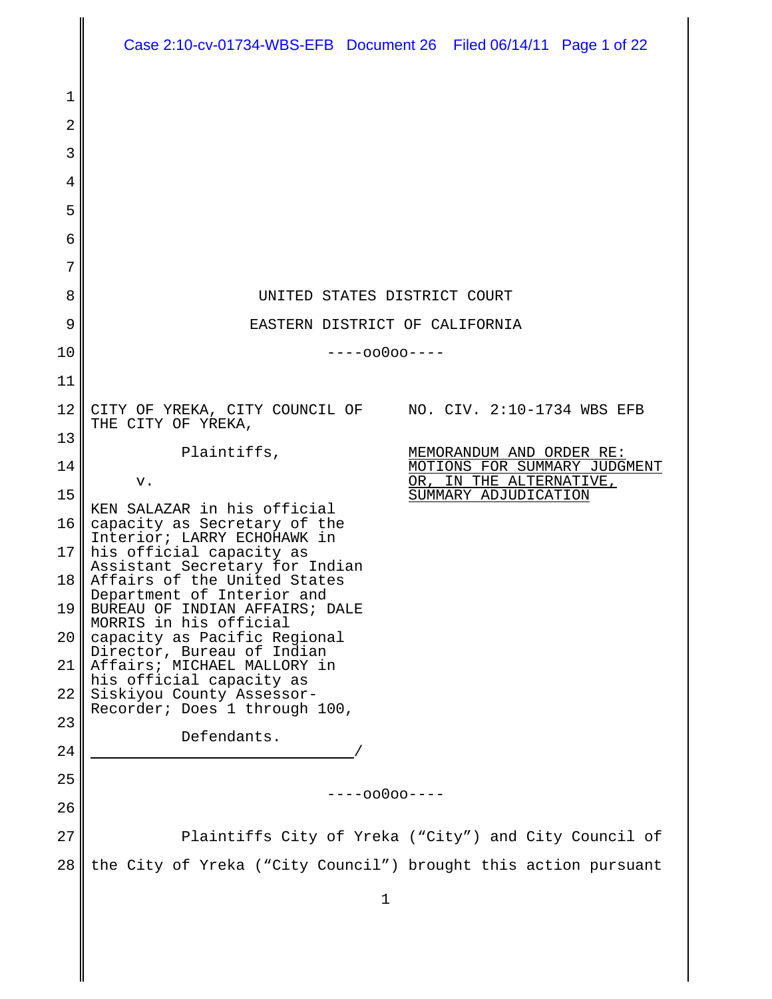|          | Case 2:10-cv-01734-WBS-EFB Document 26 Filed 06/14/11 Page 1 of 22                   |
|----------|--------------------------------------------------------------------------------------|
| 1        |                                                                                      |
| 2        |                                                                                      |
| 3        |                                                                                      |
| 4        |                                                                                      |
| 5        |                                                                                      |
| 6        |                                                                                      |
| 7        |                                                                                      |
| 8        | UNITED STATES DISTRICT COURT                                                         |
| 9        | EASTERN DISTRICT OF CALIFORNIA                                                       |
| 10       | $---00000---$                                                                        |
| 11       |                                                                                      |
| 12       | CITY OF YREKA, CITY COUNCIL OF NO. CIV. 2:10-1734 WBS EFB<br>THE CITY OF YREKA,      |
| 13       | Plaintiffs,<br>MEMORANDUM AND ORDER RE:                                              |
| 14       | MOTIONS FOR SUMMARY JUDGMENT<br>OR, IN THE ALTERNATIVE,<br>v.                        |
| 15       | SUMMARY ADJUDICATION<br>KEN SALAZAR in his official                                  |
| 16       | capacity as Secretary of the<br>Interior; LARRY ECHOHAWK in                          |
| 17       | his official capacity as<br>Assistant Secretary for Indian                           |
| 18       | Affairs of the United States<br>Department of Interior and                           |
| 19       | BUREAU OF INDIAN AFFAIRS; DALE<br>MORRIS in his official                             |
| 20       | capacity as Pacific Regional<br>Director, Bureau of Indian                           |
| 21<br>22 | Affairs; MICHAEL MALLORY in<br>his official capacity as<br>Siskiyou County Assessor- |
| 23       | Recorder; Does 1 through 100,                                                        |
| 24       | Defendants.                                                                          |
| 25       |                                                                                      |
| 26       | ----00000----                                                                        |
| 27       | Plaintiffs City of Yreka ("City") and City Council of                                |
| 28       | the City of Yreka ("City Council") brought this action pursuant                      |
|          | 1                                                                                    |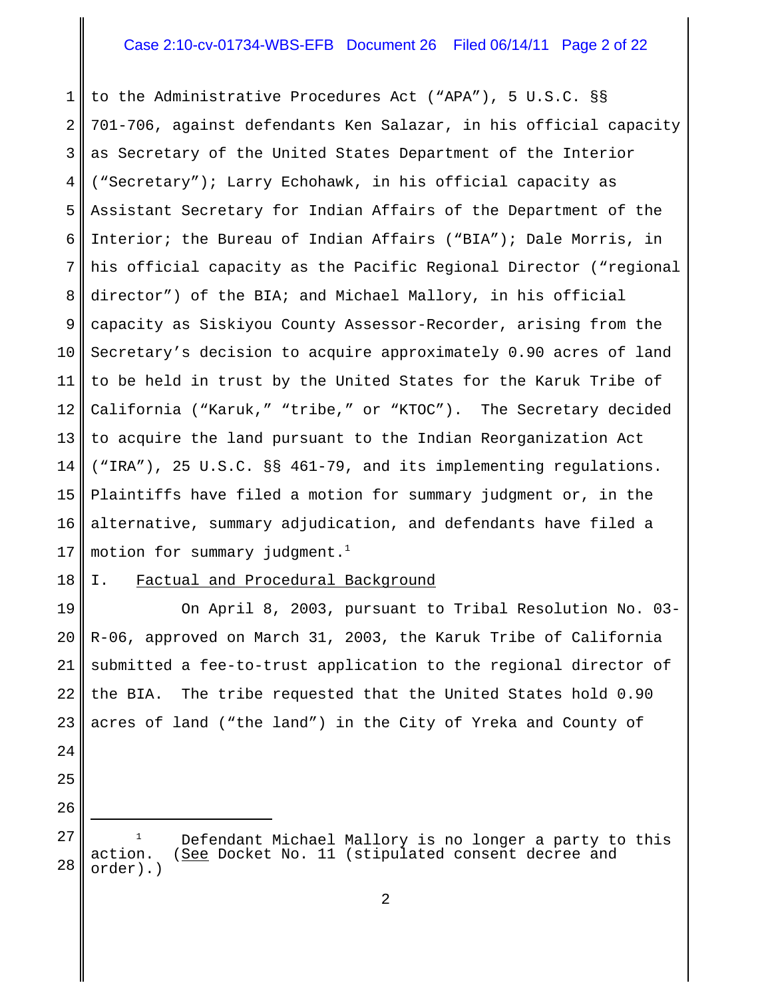### Case 2:10-cv-01734-WBS-EFB Document 26 Filed 06/14/11 Page 2 of 22

1 2 3 4 5 6 7 8 9 10 11 12 13 14 15 16 17 to the Administrative Procedures Act ("APA"), 5 U.S.C. §§ 701-706, against defendants Ken Salazar, in his official capacity as Secretary of the United States Department of the Interior ("Secretary"); Larry Echohawk, in his official capacity as Assistant Secretary for Indian Affairs of the Department of the Interior; the Bureau of Indian Affairs ("BIA"); Dale Morris, in his official capacity as the Pacific Regional Director ("regional director") of the BIA; and Michael Mallory, in his official capacity as Siskiyou County Assessor-Recorder, arising from the Secretary's decision to acquire approximately 0.90 acres of land to be held in trust by the United States for the Karuk Tribe of California ("Karuk," "tribe," or "KTOC"). The Secretary decided to acquire the land pursuant to the Indian Reorganization Act ("IRA"), 25 U.S.C. §§ 461-79, and its implementing regulations. Plaintiffs have filed a motion for summary judgment or, in the alternative, summary adjudication, and defendants have filed a motion for summary judgment. $<sup>1</sup>$ </sup>

#### 18 I. Factual and Procedural Background

24

25

26

19 20 21 22 23 On April 8, 2003, pursuant to Tribal Resolution No. 03- R-06, approved on March 31, 2003, the Karuk Tribe of California submitted a fee-to-trust application to the regional director of the BIA. The tribe requested that the United States hold 0.90 acres of land ("the land") in the City of Yreka and County of

27 28  $1$  Defendant Michael Mallory is no longer a party to this action. (See Docket No. 11 (stipulated consent decree and order).)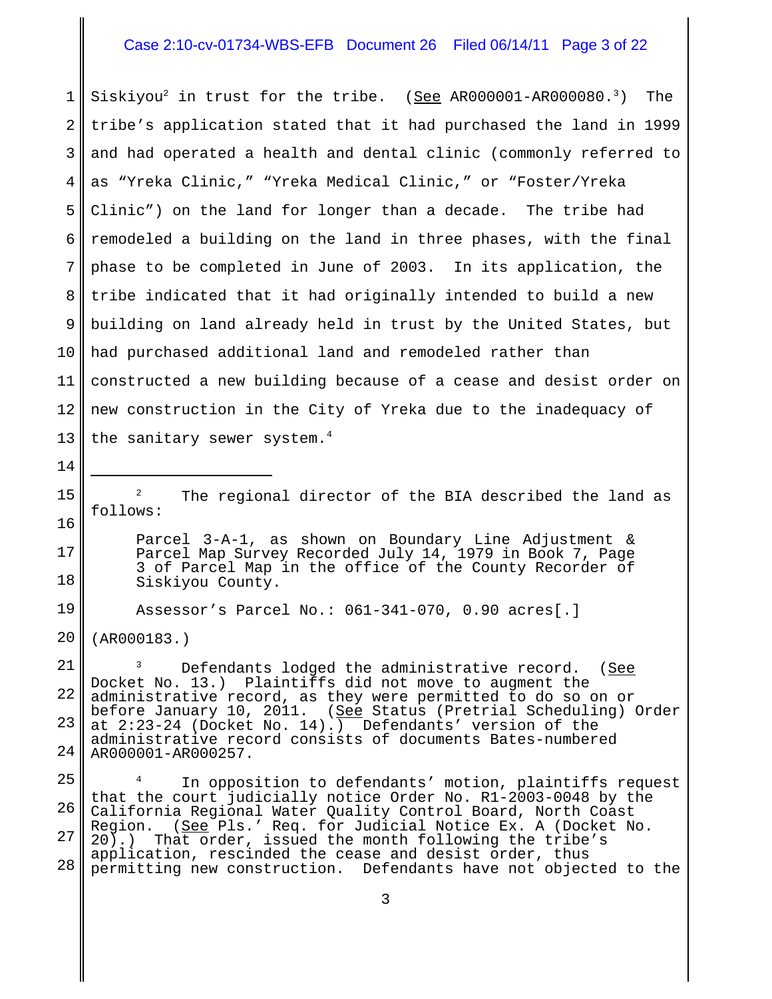## Case 2:10-cv-01734-WBS-EFB Document 26 Filed 06/14/11 Page 3 of 22

1 2 3 4 5 6 7 8 9 10 11 12 13 Siskiyou<sup>2</sup> in trust for the tribe. (See AR000001-AR000080.<sup>3</sup>) The tribe's application stated that it had purchased the land in 1999 and had operated a health and dental clinic (commonly referred to as "Yreka Clinic," "Yreka Medical Clinic," or "Foster/Yreka Clinic") on the land for longer than a decade. The tribe had remodeled a building on the land in three phases, with the final phase to be completed in June of 2003. In its application, the tribe indicated that it had originally intended to build a new building on land already held in trust by the United States, but had purchased additional land and remodeled rather than constructed a new building because of a cease and desist order on new construction in the City of Yreka due to the inadequacy of the sanitary sewer system.<sup>4</sup>

<sup>2</sup> The regional director of the BIA described the land as follows:

Parcel 3-A-1, as shown on Boundary Line Adjustment & Parcel Map Survey Recorded July 14, 1979 in Book 7, Page 3 of Parcel Map in the office of the County Recorder of Siskiyou County.

Assessor's Parcel No.: 061-341-070, 0.90 acres[.]

20 (AR000183.)

14

15

16

17

18

19

21 22 23 24 Defendants lodged the administrative record. (See Docket No. 13.) Plaintiffs did not move to augment the administrative record, as they were permitted to do so on or before January 10, 2011. (See Status (Pretrial Scheduling) Order at 2:23-24 (Docket No. 14).) Defendants' version of the administrative record consists of documents Bates-numbered AR000001-AR000257.

25 26 27 28 <sup>4</sup> In opposition to defendants' motion, plaintiffs request that the court judicially notice Order No. R1-2003-0048 by the California Regional Water Quality Control Board, North Coast Region. (<u>See</u> Pls.' Req. for Judicial Notice Ex. A (Docket No. 20).) That order, issued the month following the tribe's application, rescinded the cease and desist order, thus permitting new construction. Defendants have not objected to the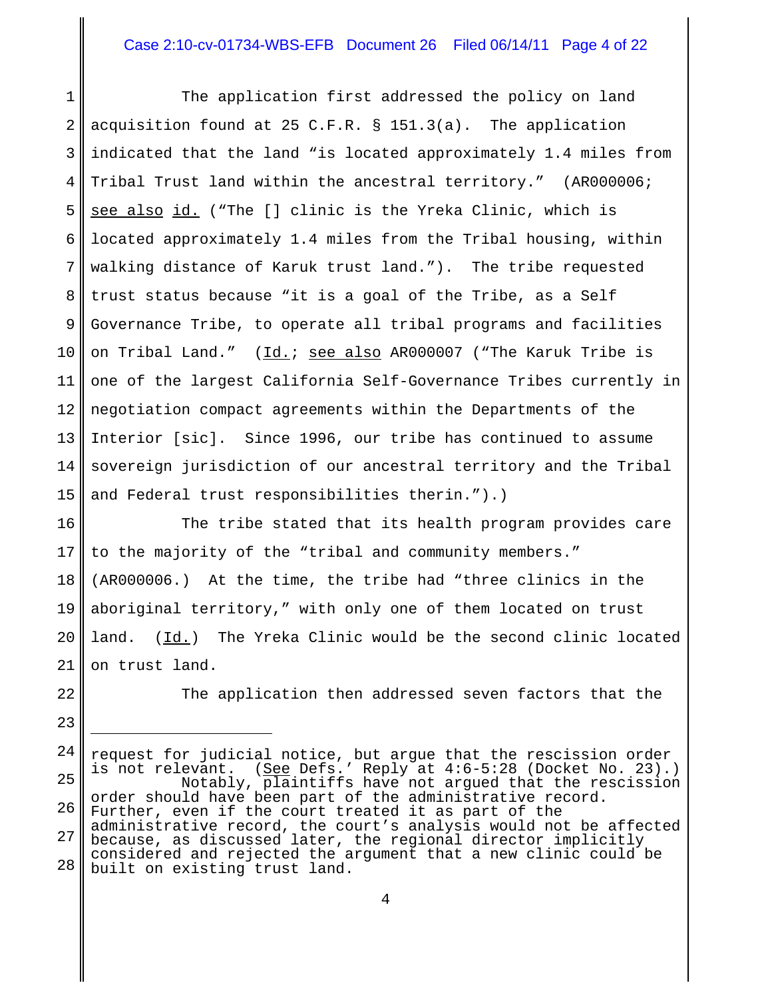### Case 2:10-cv-01734-WBS-EFB Document 26 Filed 06/14/11 Page 4 of 22

1 2 3 4 5 6 7 8 9 10 11 12 13 14 15 The application first addressed the policy on land acquisition found at 25 C.F.R. § 151.3(a). The application indicated that the land "is located approximately 1.4 miles from Tribal Trust land within the ancestral territory." (AR000006; see also id. ("The [] clinic is the Yreka Clinic, which is located approximately 1.4 miles from the Tribal housing, within walking distance of Karuk trust land."). The tribe requested trust status because "it is a goal of the Tribe, as a Self Governance Tribe, to operate all tribal programs and facilities on Tribal Land." (Id.; see also AR000007 ("The Karuk Tribe is one of the largest California Self-Governance Tribes currently in negotiation compact agreements within the Departments of the Interior [sic]. Since 1996, our tribe has continued to assume sovereign jurisdiction of our ancestral territory and the Tribal and Federal trust responsibilities therin.").)

16 17 18 19 20 21 The tribe stated that its health program provides care to the majority of the "tribal and community members." (AR000006.) At the time, the tribe had "three clinics in the aboriginal territory," with only one of them located on trust land. (Id.) The Yreka Clinic would be the second clinic located on trust land.

22 23 The application then addressed seven factors that the

24 25 26 27 28 request for judicial notice, but argue that the rescission order is not relevant. (See Defs.' Reply at 4:6-5:28 (Docket No. 23).) Notably, plaintiffs have not argued that the rescission order should have been part of the administrative record. Further, even if the court treated it as part of the administrative record, the court's analysis would not be affected because, as discussed later, the regional director implicitly considered and rejected the argument that a new clinic could be built on existing trust land.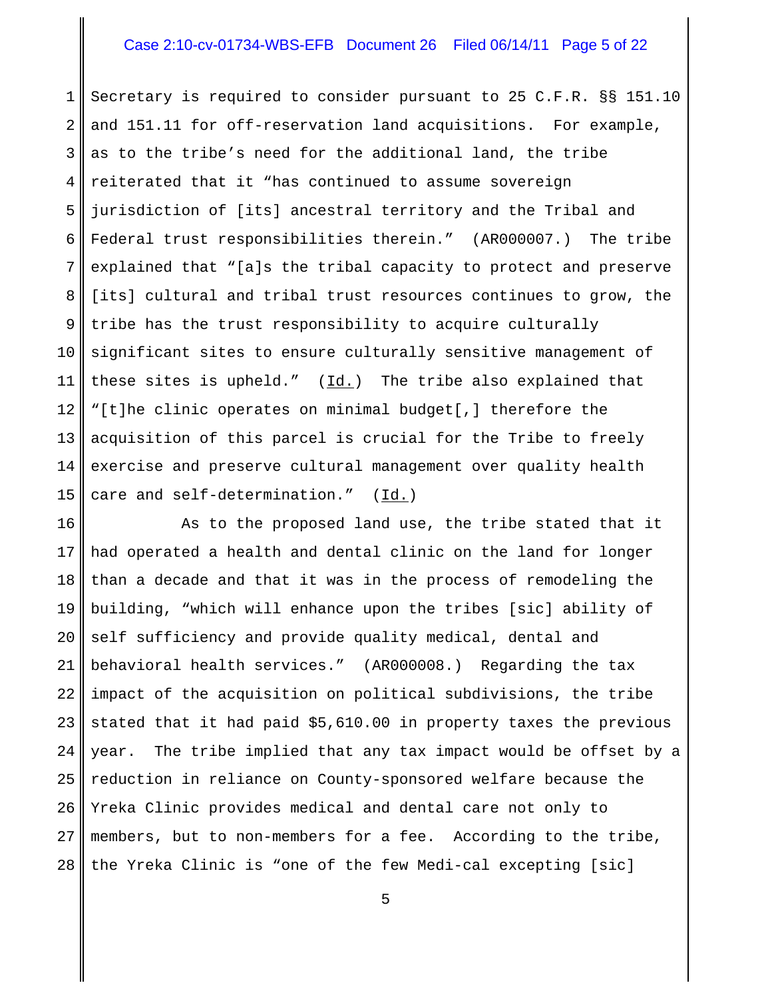### Case 2:10-cv-01734-WBS-EFB Document 26 Filed 06/14/11 Page 5 of 22

1 2 3 4 5 6 7 8 9 10 11 12 13 14 15 Secretary is required to consider pursuant to 25 C.F.R. §§ 151.10 and 151.11 for off-reservation land acquisitions. For example, as to the tribe's need for the additional land, the tribe reiterated that it "has continued to assume sovereign jurisdiction of [its] ancestral territory and the Tribal and Federal trust responsibilities therein." (AR000007.) The tribe explained that "[a]s the tribal capacity to protect and preserve [its] cultural and tribal trust resources continues to grow, the tribe has the trust responsibility to acquire culturally significant sites to ensure culturally sensitive management of these sites is upheld."  $(\underline{Id.})$  The tribe also explained that "[t]he clinic operates on minimal budget[,] therefore the acquisition of this parcel is crucial for the Tribe to freely exercise and preserve cultural management over quality health care and self-determination." (Id.)

16 17 18 19 20 21 22 23 24 25 26 27 28 As to the proposed land use, the tribe stated that it had operated a health and dental clinic on the land for longer than a decade and that it was in the process of remodeling the building, "which will enhance upon the tribes [sic] ability of self sufficiency and provide quality medical, dental and behavioral health services." (AR000008.) Regarding the tax impact of the acquisition on political subdivisions, the tribe stated that it had paid \$5,610.00 in property taxes the previous year. The tribe implied that any tax impact would be offset by a reduction in reliance on County-sponsored welfare because the Yreka Clinic provides medical and dental care not only to members, but to non-members for a fee. According to the tribe, the Yreka Clinic is "one of the few Medi-cal excepting [sic]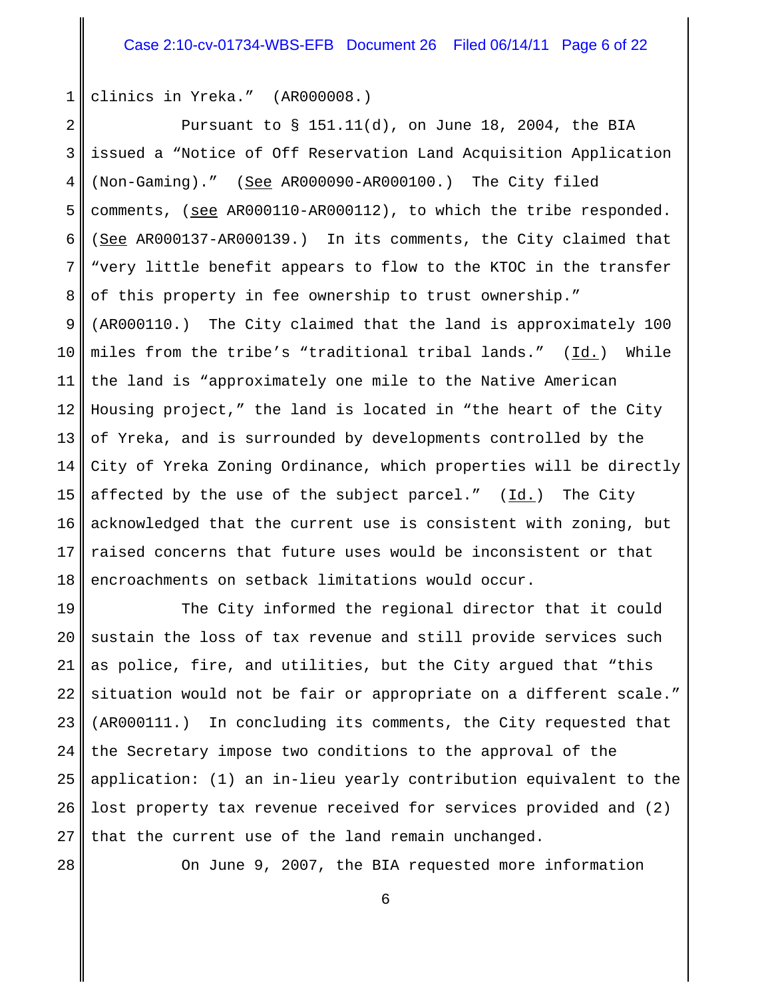1 clinics in Yreka." (AR000008.)

2 3 4 5 6 7 8 9 10 11 12 13 14 15 16 17 18 Pursuant to § 151.11(d), on June 18, 2004, the BIA issued a "Notice of Off Reservation Land Acquisition Application (Non-Gaming)." (See AR000090-AR000100.) The City filed comments, (see AR000110-AR000112), to which the tribe responded. (See AR000137-AR000139.) In its comments, the City claimed that "very little benefit appears to flow to the KTOC in the transfer of this property in fee ownership to trust ownership." (AR000110.) The City claimed that the land is approximately 100 miles from the tribe's "traditional tribal lands."  $(\underline{Id.})$  While the land is "approximately one mile to the Native American Housing project," the land is located in "the heart of the City of Yreka, and is surrounded by developments controlled by the City of Yreka Zoning Ordinance, which properties will be directly affected by the use of the subject parcel." (Id.) The City acknowledged that the current use is consistent with zoning, but raised concerns that future uses would be inconsistent or that encroachments on setback limitations would occur.

19 20 21 22 23 24 25 26 27 The City informed the regional director that it could sustain the loss of tax revenue and still provide services such as police, fire, and utilities, but the City argued that "this situation would not be fair or appropriate on a different scale." (AR000111.) In concluding its comments, the City requested that the Secretary impose two conditions to the approval of the application: (1) an in-lieu yearly contribution equivalent to the lost property tax revenue received for services provided and (2) that the current use of the land remain unchanged.

28

On June 9, 2007, the BIA requested more information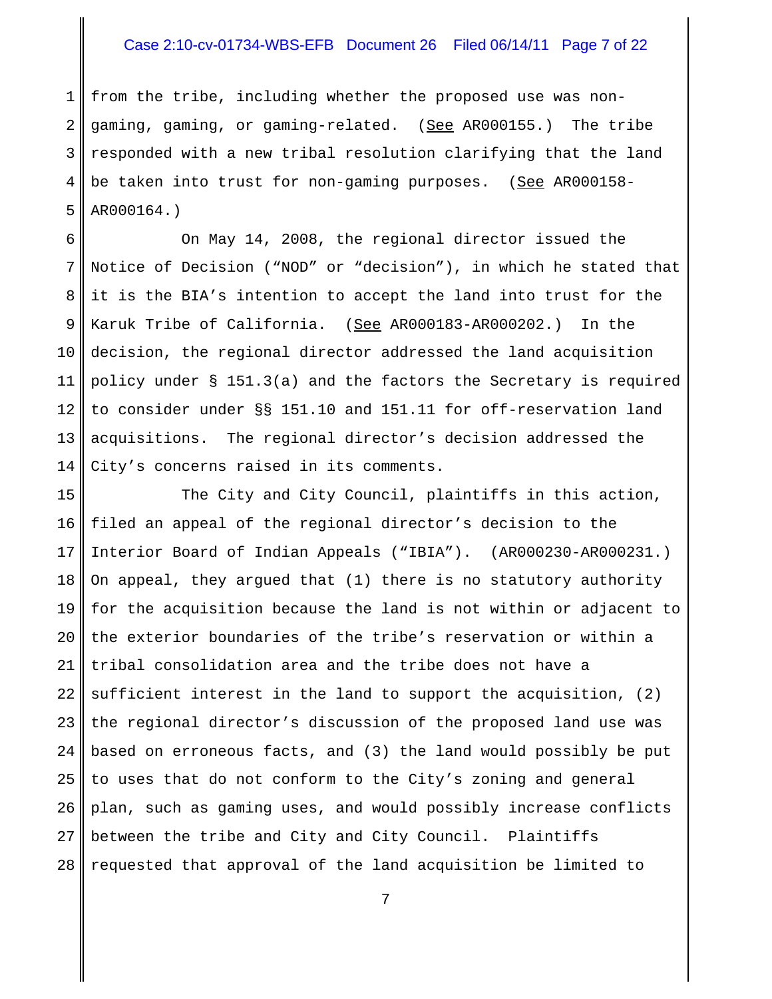### Case 2:10-cv-01734-WBS-EFB Document 26 Filed 06/14/11 Page 7 of 22

1 2 3 4 5 from the tribe, including whether the proposed use was nongaming, gaming, or gaming-related. (See AR000155.) The tribe responded with a new tribal resolution clarifying that the land be taken into trust for non-gaming purposes. (See AR000158-AR000164.)

6 7 8 9 10 11 12 13 14 On May 14, 2008, the regional director issued the Notice of Decision ("NOD" or "decision"), in which he stated that it is the BIA's intention to accept the land into trust for the Karuk Tribe of California. (See AR000183-AR000202.) In the decision, the regional director addressed the land acquisition policy under § 151.3(a) and the factors the Secretary is required to consider under §§ 151.10 and 151.11 for off-reservation land acquisitions. The regional director's decision addressed the City's concerns raised in its comments.

15 16 17 18 19 20 21 22 23 24 25 26 27 28 The City and City Council, plaintiffs in this action, filed an appeal of the regional director's decision to the Interior Board of Indian Appeals ("IBIA"). (AR000230-AR000231.) On appeal, they argued that (1) there is no statutory authority for the acquisition because the land is not within or adjacent to the exterior boundaries of the tribe's reservation or within a tribal consolidation area and the tribe does not have a sufficient interest in the land to support the acquisition, (2) the regional director's discussion of the proposed land use was based on erroneous facts, and (3) the land would possibly be put to uses that do not conform to the City's zoning and general plan, such as gaming uses, and would possibly increase conflicts between the tribe and City and City Council. Plaintiffs requested that approval of the land acquisition be limited to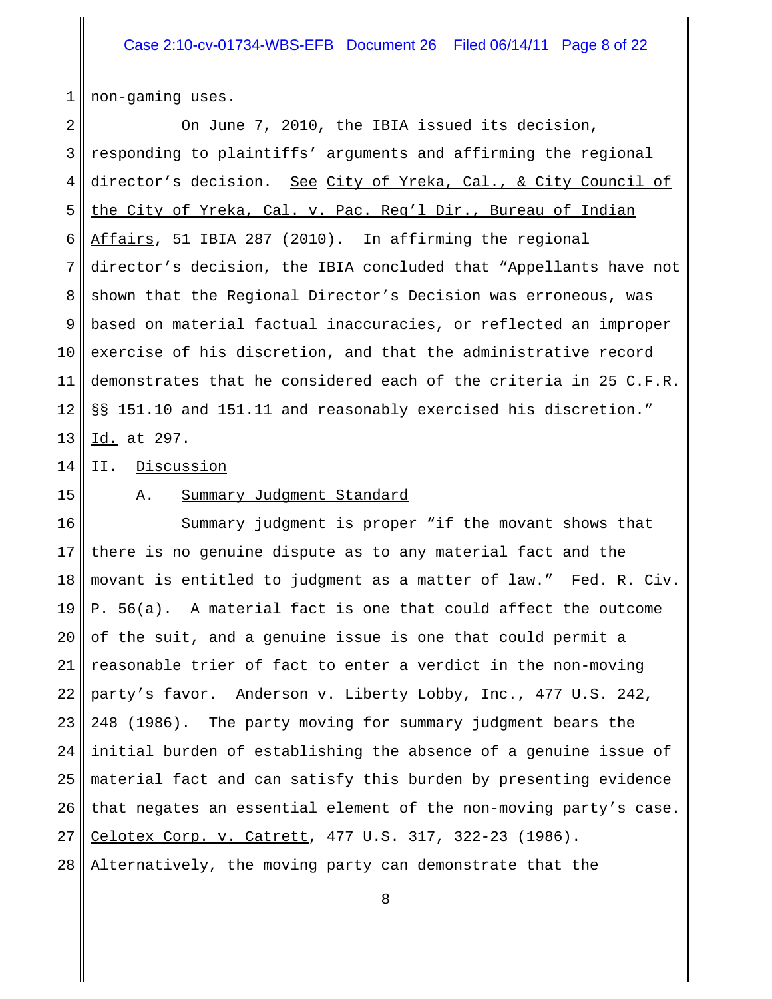1 non-gaming uses.

2 3 4 5 6 7 8 9 10 11 12 13 On June 7, 2010, the IBIA issued its decision, responding to plaintiffs' arguments and affirming the regional director's decision. See City of Yreka, Cal., & City Council of the City of Yreka, Cal. v. Pac. Reg'l Dir., Bureau of Indian Affairs, 51 IBIA 287 (2010). In affirming the regional director's decision, the IBIA concluded that "Appellants have not shown that the Regional Director's Decision was erroneous, was based on material factual inaccuracies, or reflected an improper exercise of his discretion, and that the administrative record demonstrates that he considered each of the criteria in 25 C.F.R. §§ 151.10 and 151.11 and reasonably exercised his discretion." Id. at 297.

14 II. Discussion

15

#### A. Summary Judgment Standard

16 17 18 19 20 21 22 23 24 25 26 27 28 Summary judgment is proper "if the movant shows that there is no genuine dispute as to any material fact and the movant is entitled to judgment as a matter of law." Fed. R. Civ. P. 56(a). A material fact is one that could affect the outcome of the suit, and a genuine issue is one that could permit a reasonable trier of fact to enter a verdict in the non-moving party's favor. Anderson v. Liberty Lobby, Inc., 477 U.S. 242, 248 (1986). The party moving for summary judgment bears the initial burden of establishing the absence of a genuine issue of material fact and can satisfy this burden by presenting evidence that negates an essential element of the non-moving party's case. Celotex Corp. v. Catrett, 477 U.S. 317, 322-23 (1986). Alternatively, the moving party can demonstrate that the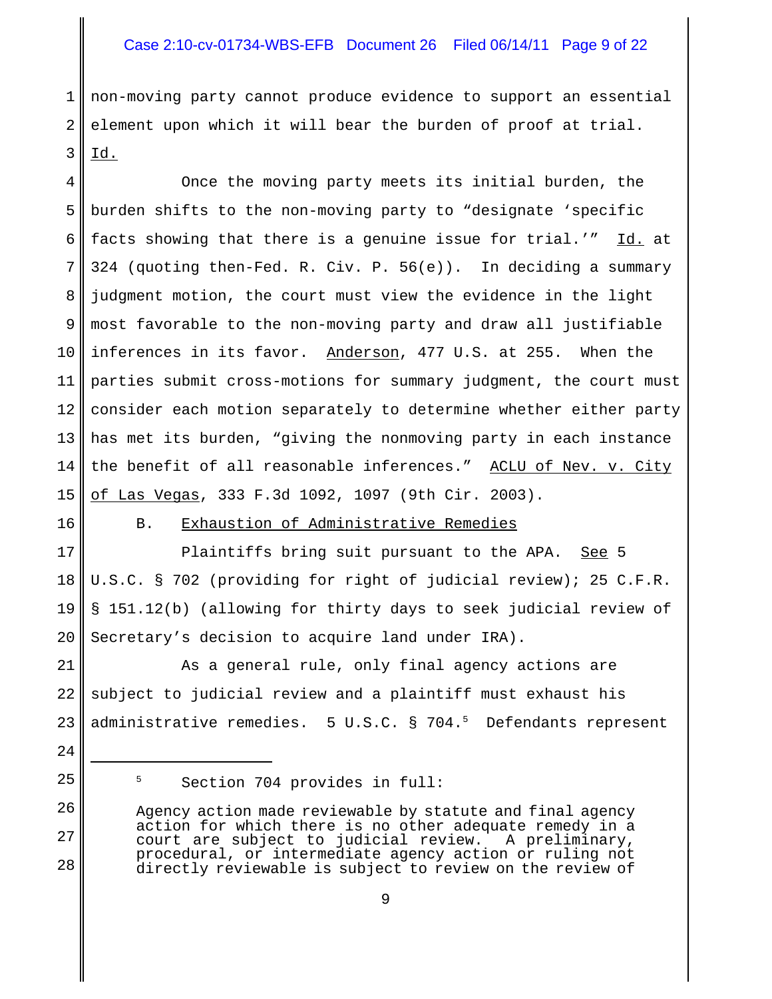### Case 2:10-cv-01734-WBS-EFB Document 26 Filed 06/14/11 Page 9 of 22

1 2 3 non-moving party cannot produce evidence to support an essential element upon which it will bear the burden of proof at trial. Id.

4 5 6 7 8 9 10 11 12 13 14 15 Once the moving party meets its initial burden, the burden shifts to the non-moving party to "designate 'specific facts showing that there is a genuine issue for trial.'" Id. at 324 (quoting then-Fed. R. Civ. P. 56(e)). In deciding a summary judgment motion, the court must view the evidence in the light most favorable to the non-moving party and draw all justifiable inferences in its favor. Anderson, 477 U.S. at 255. When the parties submit cross-motions for summary judgment, the court must consider each motion separately to determine whether either party has met its burden, "giving the nonmoving party in each instance the benefit of all reasonable inferences." ACLU of Nev. v. City of Las Vegas, 333 F.3d 1092, 1097 (9th Cir. 2003).

16

17

18

19

20

### B. Exhaustion of Administrative Remedies

Plaintiffs bring suit pursuant to the APA. See 5 U.S.C. § 702 (providing for right of judicial review); 25 C.F.R. § 151.12(b) (allowing for thirty days to seek judicial review of Secretary's decision to acquire land under IRA).

21 22 23 As a general rule, only final agency actions are subject to judicial review and a plaintiff must exhaust his administrative remedies. 5 U.S.C. § 704.<sup>5</sup> Defendants represent

24 25

26

27

<sup>5</sup> Section 704 provides in full:

Agency action made reviewable by statute and final agency action for which there is no other adequate remedy in a<br>court are subject to judicial review. A preliminary, court are subject to judicial review. procedural, or intermediate agency action or ruling not directly reviewable is subject to review on the review of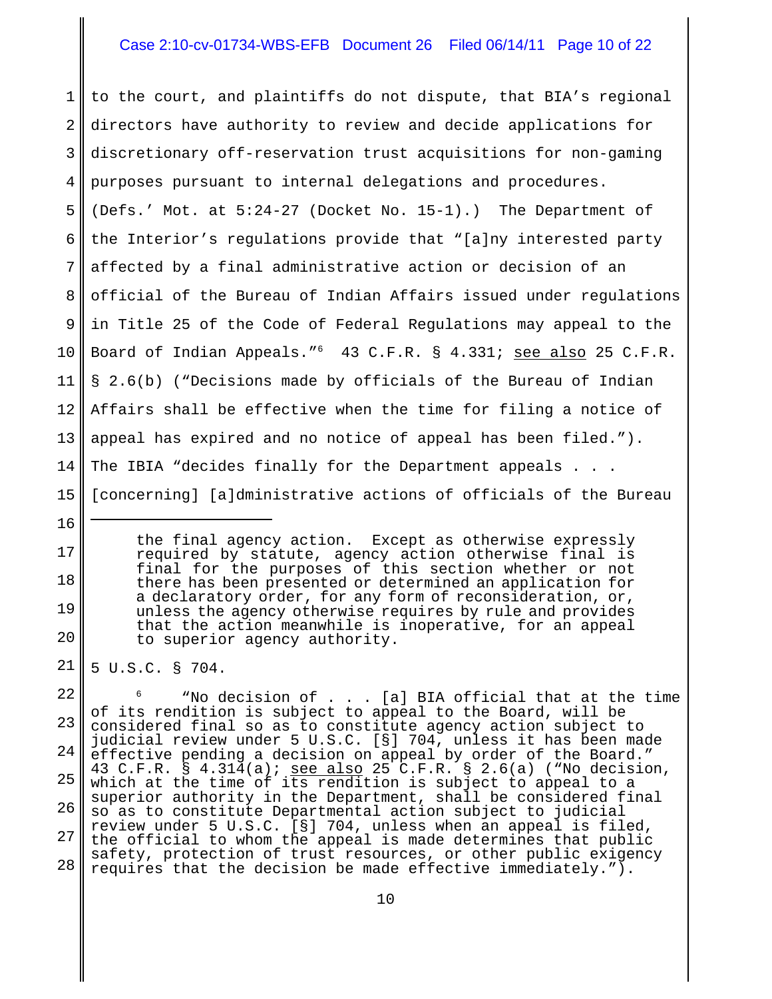### Case 2:10-cv-01734-WBS-EFB Document 26 Filed 06/14/11 Page 10 of 22

1 2 3 4 5 6 7 8 9 10 11 12 13 14 15 to the court, and plaintiffs do not dispute, that BIA's regional directors have authority to review and decide applications for discretionary off-reservation trust acquisitions for non-gaming purposes pursuant to internal delegations and procedures. (Defs.' Mot. at 5:24-27 (Docket No. 15-1).) The Department of the Interior's regulations provide that "[a]ny interested party affected by a final administrative action or decision of an official of the Bureau of Indian Affairs issued under regulations in Title 25 of the Code of Federal Regulations may appeal to the Board of Indian Appeals."<sup>6</sup> 43 C.F.R. § 4.331; <u>see also</u> 25 C.F.R. § 2.6(b) ("Decisions made by officials of the Bureau of Indian Affairs shall be effective when the time for filing a notice of appeal has expired and no notice of appeal has been filed."). The IBIA "decides finally for the Department appeals . . . [concerning] [a]dministrative actions of officials of the Bureau

> the final agency action. Except as otherwise expressly required by statute, agency action otherwise final is final for the purposes of this section whether or not there has been presented or determined an application for a declaratory order, for any form of reconsideration, or, unless the agency otherwise requires by rule and provides that the action meanwhile is inoperative, for an appeal to superior agency authority.

21 5 U.S.C. § 704.

16

17

18

19

20

22 23 24 25 26 27 28  $6$  "No decision of . . . [a] BIA official that at the time of its rendition is subject to appeal to the Board, will be considered final so as to constitute agency action subject to judicial review under 5 U.S.C. [§] 704, unless it has been made effective pending a decision on appeal by order of the Board." 43 C.F.R. § 4.314(a); see also 25 C.F.R. § 2.6(a) ("No decision, which at the time of its rendition is subject to appeal to a superior authority in the Department, shall be considered final so as to constitute Departmental action subject to judicial review under 5 U.S.C. [§] 704, unless when an appeal is filed, the official to whom the appeal is made determines that public safety, protection of trust resources, or other public exigency requires that the decision be made effective immediately.").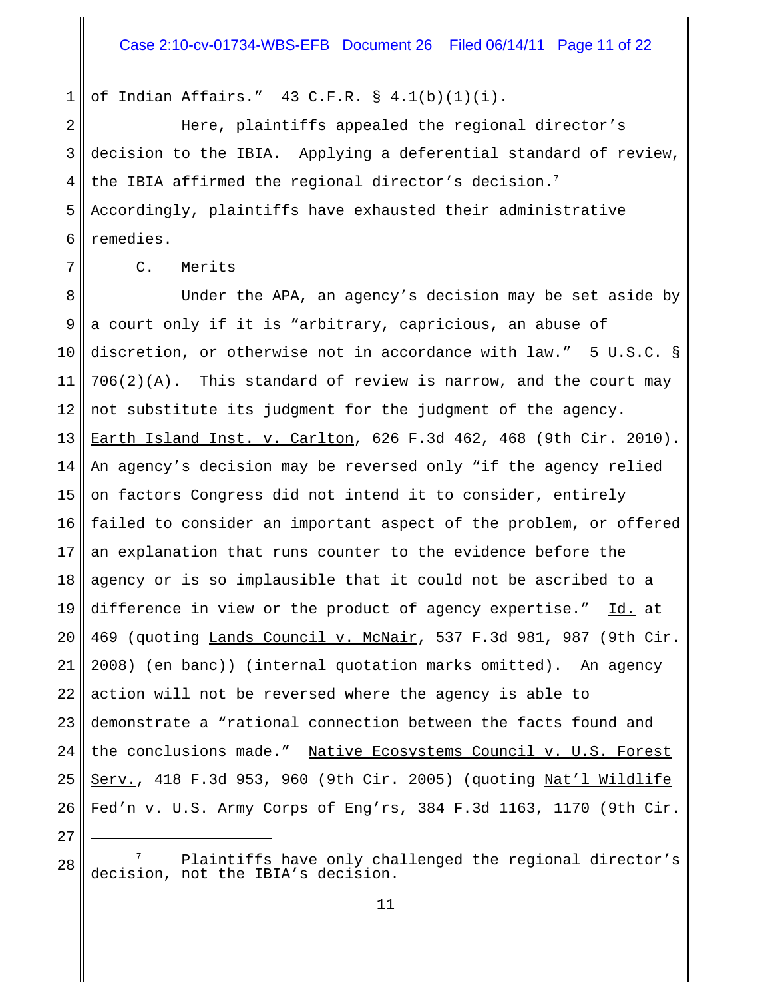1 of Indian Affairs." 43 C.F.R. § 4.1(b)(1)(i).

2 3 4 5 6 Here, plaintiffs appealed the regional director's decision to the IBIA. Applying a deferential standard of review, the IBIA affirmed the regional director's decision.<sup>7</sup> Accordingly, plaintiffs have exhausted their administrative remedies.

7

27

#### C. Merits

8 9 10 11 12 13 14 15 16 17 18 19 20 21 22 23 24 25 26 Under the APA, an agency's decision may be set aside by a court only if it is "arbitrary, capricious, an abuse of discretion, or otherwise not in accordance with law." 5 U.S.C. § 706(2)(A). This standard of review is narrow, and the court may not substitute its judgment for the judgment of the agency. Earth Island Inst. v. Carlton, 626 F.3d 462, 468 (9th Cir. 2010). An agency's decision may be reversed only "if the agency relied on factors Congress did not intend it to consider, entirely failed to consider an important aspect of the problem, or offered an explanation that runs counter to the evidence before the agency or is so implausible that it could not be ascribed to a difference in view or the product of agency expertise." Id. at 469 (quoting Lands Council v. McNair, 537 F.3d 981, 987 (9th Cir. 2008) (en banc)) (internal quotation marks omitted). An agency action will not be reversed where the agency is able to demonstrate a "rational connection between the facts found and the conclusions made." Native Ecosystems Council v. U.S. Forest Serv., 418 F.3d 953, 960 (9th Cir. 2005) (quoting Nat'l Wildlife Fed'n v. U.S. Army Corps of Eng'rs, 384 F.3d 1163, 1170 (9th Cir.

<sup>28</sup> Plaintiffs have only challenged the regional director's decision, not the IBIA's decision.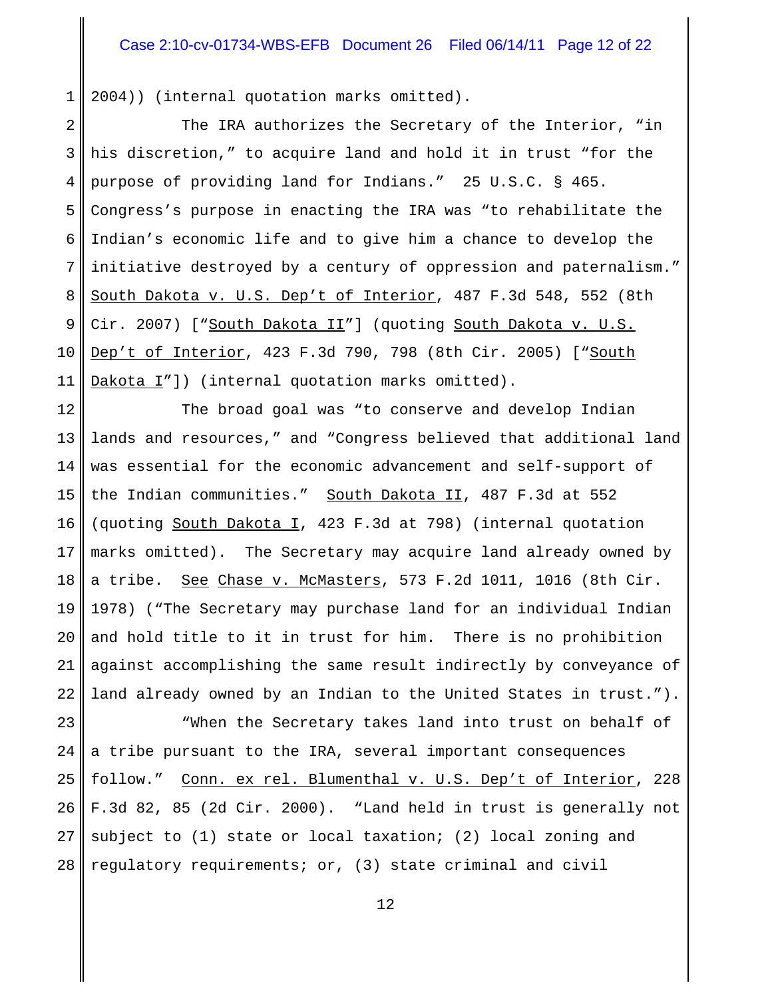1 2004)) (internal quotation marks omitted).

2 3 4 5 6 7 8 9 10 11 The IRA authorizes the Secretary of the Interior, "in his discretion," to acquire land and hold it in trust "for the purpose of providing land for Indians." 25 U.S.C. § 465. Congress's purpose in enacting the IRA was "to rehabilitate the Indian's economic life and to give him a chance to develop the initiative destroyed by a century of oppression and paternalism." South Dakota v. U.S. Dep't of Interior, 487 F.3d 548, 552 (8th Cir. 2007) ["South Dakota II"] (quoting South Dakota v. U.S. Dep't of Interior, 423 F.3d 790, 798 (8th Cir. 2005) ["South Dakota I"]) (internal quotation marks omitted).

12 13 14 15 16 17 18 19 20 21 22 The broad goal was "to conserve and develop Indian lands and resources," and "Congress believed that additional land was essential for the economic advancement and self-support of the Indian communities." South Dakota II, 487 F.3d at 552 (quoting South Dakota I, 423 F.3d at 798) (internal quotation marks omitted). The Secretary may acquire land already owned by a tribe. See Chase v. McMasters, 573 F.2d 1011, 1016 (8th Cir. 1978) ("The Secretary may purchase land for an individual Indian and hold title to it in trust for him. There is no prohibition against accomplishing the same result indirectly by conveyance of land already owned by an Indian to the United States in trust.").

23 24 25 26 27 28 "When the Secretary takes land into trust on behalf of a tribe pursuant to the IRA, several important consequences follow." Conn. ex rel. Blumenthal v. U.S. Dep't of Interior, 228 F.3d 82, 85 (2d Cir. 2000). "Land held in trust is generally not subject to (1) state or local taxation; (2) local zoning and regulatory requirements; or, (3) state criminal and civil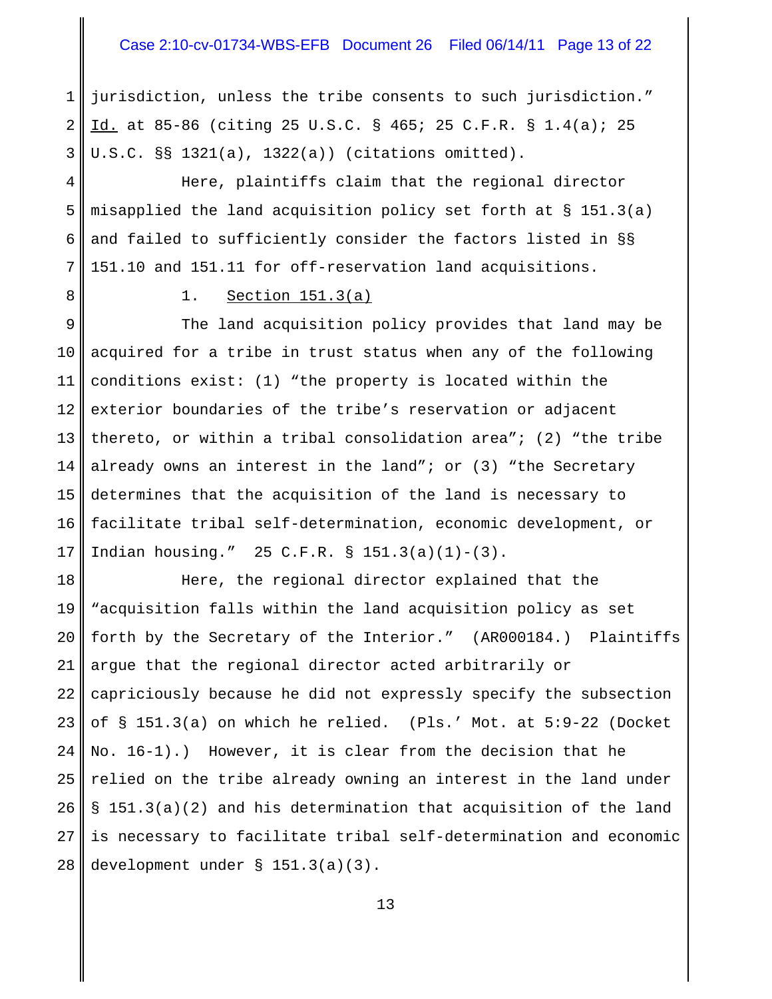#### Case 2:10-cv-01734-WBS-EFB Document 26 Filed 06/14/11 Page 13 of 22

1 2 3 jurisdiction, unless the tribe consents to such jurisdiction." Id. at 85-86 (citing 25 U.S.C. § 465; 25 C.F.R. § 1.4(a); 25 U.S.C. §§ 1321(a), 1322(a)) (citations omitted).

4 5 6 7 Here, plaintiffs claim that the regional director misapplied the land acquisition policy set forth at § 151.3(a) and failed to sufficiently consider the factors listed in §§ 151.10 and 151.11 for off-reservation land acquisitions.

8

1. Section 151.3(a)

9 10 11 12 13 14 15 16 17 The land acquisition policy provides that land may be acquired for a tribe in trust status when any of the following conditions exist: (1) "the property is located within the exterior boundaries of the tribe's reservation or adjacent thereto, or within a tribal consolidation area"; (2) "the tribe already owns an interest in the land"; or  $(3)$  "the Secretary determines that the acquisition of the land is necessary to facilitate tribal self-determination, economic development, or Indian housing." 25 C.F.R. § 151.3(a)(1)-(3).

18 19 20 21 22 23 24 25 26 27 28 Here, the regional director explained that the "acquisition falls within the land acquisition policy as set forth by the Secretary of the Interior." (AR000184.) Plaintiffs argue that the regional director acted arbitrarily or capriciously because he did not expressly specify the subsection of § 151.3(a) on which he relied. (Pls.' Mot. at 5:9-22 (Docket No. 16-1).) However, it is clear from the decision that he relied on the tribe already owning an interest in the land under § 151.3(a)(2) and his determination that acquisition of the land is necessary to facilitate tribal self-determination and economic development under § 151.3(a)(3).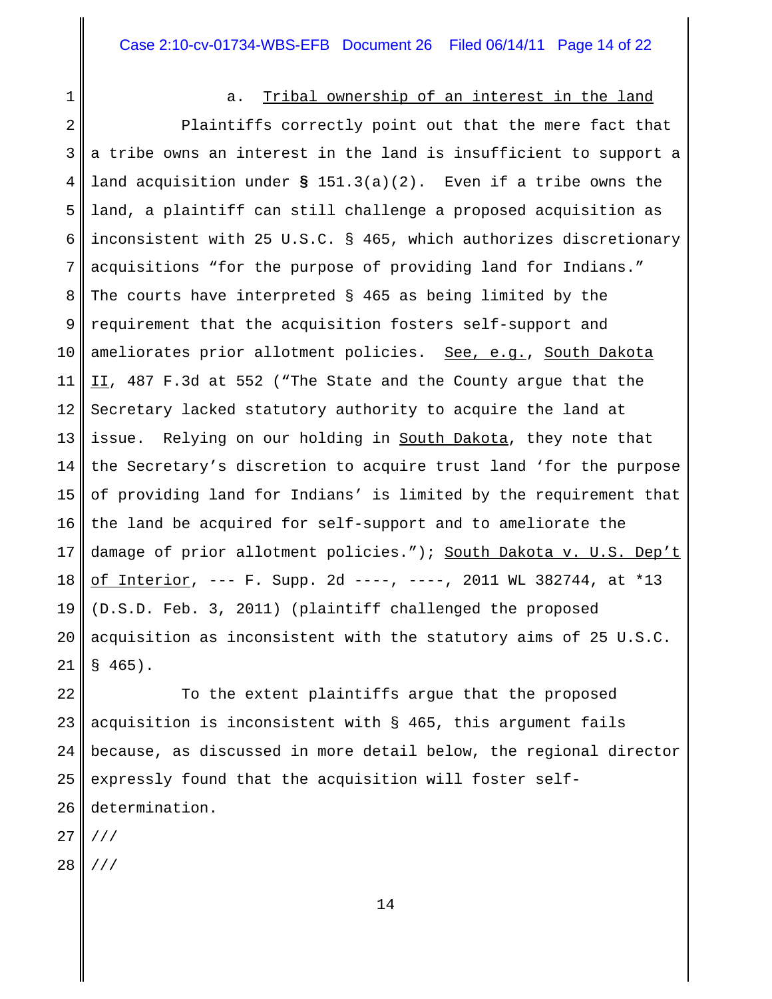1

#### a. Tribal ownership of an interest in the land

2 3 4 5 6 7 8 9 10 11 12 13 14 15 16 17 18 19 20 21 Plaintiffs correctly point out that the mere fact that a tribe owns an interest in the land is insufficient to support a land acquisition under **§** 151.3(a)(2). Even if a tribe owns the land, a plaintiff can still challenge a proposed acquisition as inconsistent with 25 U.S.C. § 465, which authorizes discretionary acquisitions "for the purpose of providing land for Indians." The courts have interpreted § 465 as being limited by the requirement that the acquisition fosters self-support and ameliorates prior allotment policies. See, e.g., South Dakota II, 487 F.3d at 552 ("The State and the County argue that the Secretary lacked statutory authority to acquire the land at issue. Relying on our holding in South Dakota, they note that the Secretary's discretion to acquire trust land 'for the purpose of providing land for Indians' is limited by the requirement that the land be acquired for self-support and to ameliorate the damage of prior allotment policies."); South Dakota v. U.S. Dep't of Interior, --- F. Supp. 2d ----, ----, 2011 WL 382744, at \*13 (D.S.D. Feb. 3, 2011) (plaintiff challenged the proposed acquisition as inconsistent with the statutory aims of 25 U.S.C. § 465).

22 23 24 25 26 To the extent plaintiffs argue that the proposed acquisition is inconsistent with § 465, this argument fails because, as discussed in more detail below, the regional director expressly found that the acquisition will foster selfdetermination.

27 ///

28 ///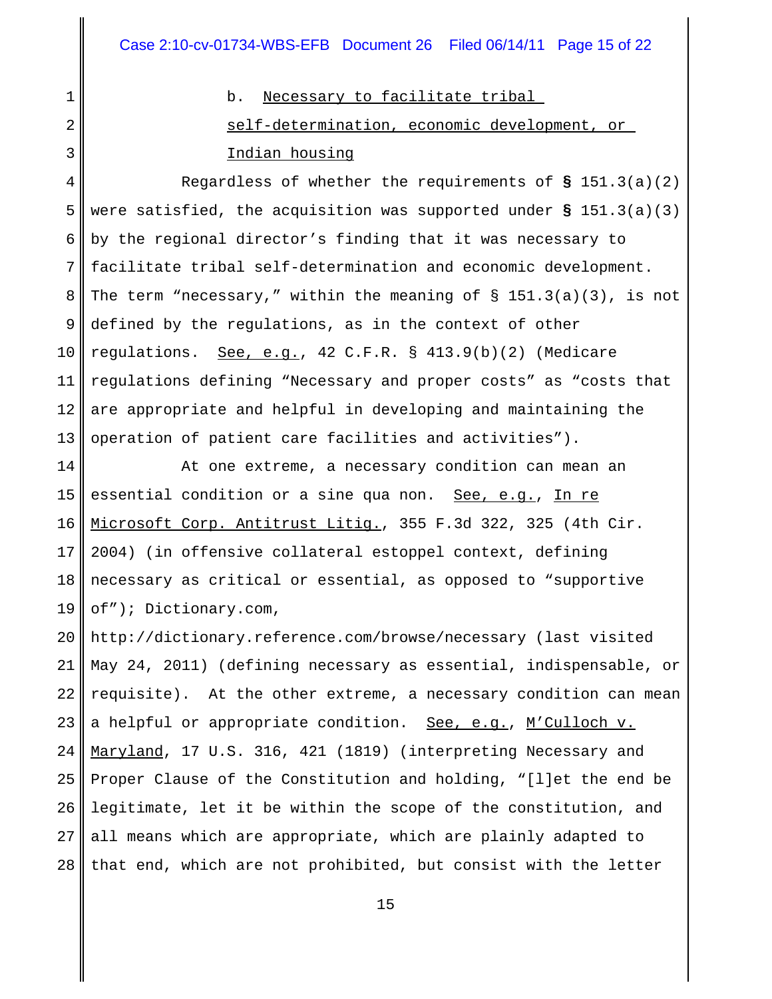1

2

3

b. Necessary to facilitate tribal self-determination, economic development, or Indian housing

4 5 6 7 8 9 10 11 12 13 Regardless of whether the requirements of **§** 151.3(a)(2) were satisfied, the acquisition was supported under **§** 151.3(a)(3) by the regional director's finding that it was necessary to facilitate tribal self-determination and economic development. The term "necessary," within the meaning of  $\S$  151.3(a)(3), is not defined by the regulations, as in the context of other regulations. See, e.g., 42 C.F.R. § 413.9(b)(2) (Medicare regulations defining "Necessary and proper costs" as "costs that are appropriate and helpful in developing and maintaining the operation of patient care facilities and activities").

14 15 16 17 18 19 At one extreme, a necessary condition can mean an essential condition or a sine qua non. See, e.g., In re Microsoft Corp. Antitrust Litig., 355 F.3d 322, 325 (4th Cir. 2004) (in offensive collateral estoppel context, defining necessary as critical or essential, as opposed to "supportive of"); Dictionary.com,

20 21 22 23 24 25 26 27 28 http://dictionary.reference.com/browse/necessary (last visited May 24, 2011) (defining necessary as essential, indispensable, or requisite). At the other extreme, a necessary condition can mean a helpful or appropriate condition. See, e.g., M'Culloch v. Maryland, 17 U.S. 316, 421 (1819) (interpreting Necessary and Proper Clause of the Constitution and holding, "[l]et the end be legitimate, let it be within the scope of the constitution, and all means which are appropriate, which are plainly adapted to that end, which are not prohibited, but consist with the letter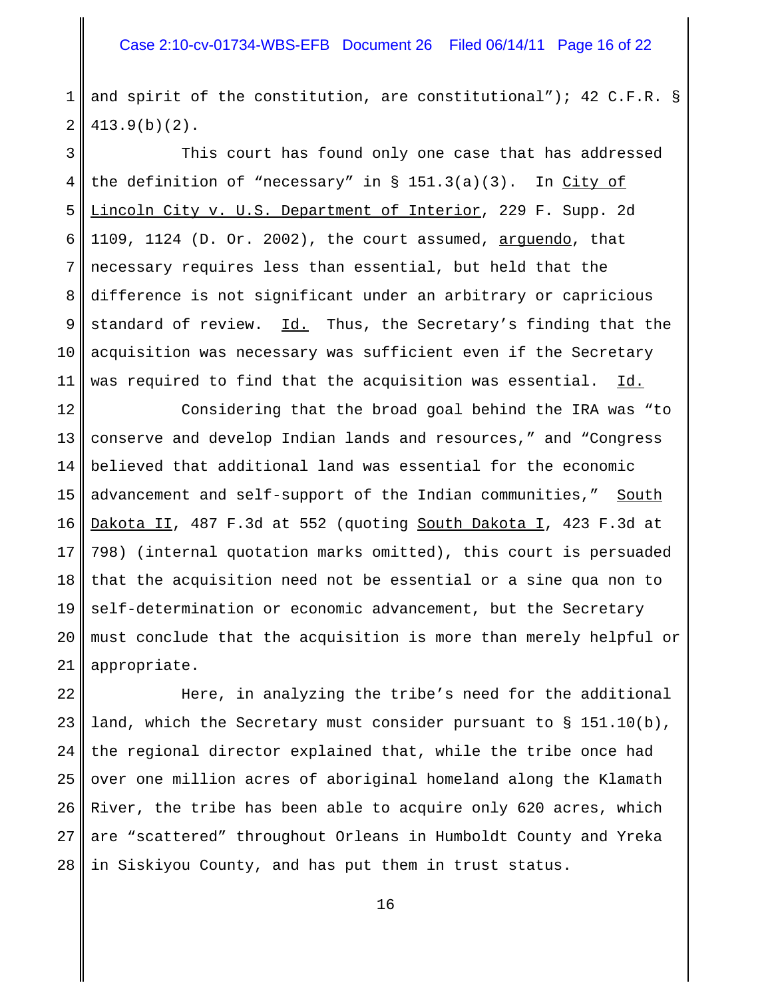1 2 and spirit of the constitution, are constitutional"); 42 C.F.R. § 413.9(b)(2).

3 4 5 6 7 8 9 10 11 This court has found only one case that has addressed the definition of "necessary" in  $\S$  151.3(a)(3). In City of Lincoln City v. U.S. Department of Interior, 229 F. Supp. 2d 1109, 1124 (D. Or. 2002), the court assumed, arguendo, that necessary requires less than essential, but held that the difference is not significant under an arbitrary or capricious standard of review. Id. Thus, the Secretary's finding that the acquisition was necessary was sufficient even if the Secretary was required to find that the acquisition was essential. Id.

12 13 14 15 16 17 18 19 20 21 Considering that the broad goal behind the IRA was "to conserve and develop Indian lands and resources," and "Congress believed that additional land was essential for the economic advancement and self-support of the Indian communities," South Dakota II, 487 F.3d at 552 (quoting South Dakota I, 423 F.3d at 798) (internal quotation marks omitted), this court is persuaded that the acquisition need not be essential or a sine qua non to self-determination or economic advancement, but the Secretary must conclude that the acquisition is more than merely helpful or appropriate.

22 23 24 25 26 27 28 Here, in analyzing the tribe's need for the additional land, which the Secretary must consider pursuant to § 151.10(b), the regional director explained that, while the tribe once had over one million acres of aboriginal homeland along the Klamath River, the tribe has been able to acquire only 620 acres, which are "scattered" throughout Orleans in Humboldt County and Yreka in Siskiyou County, and has put them in trust status.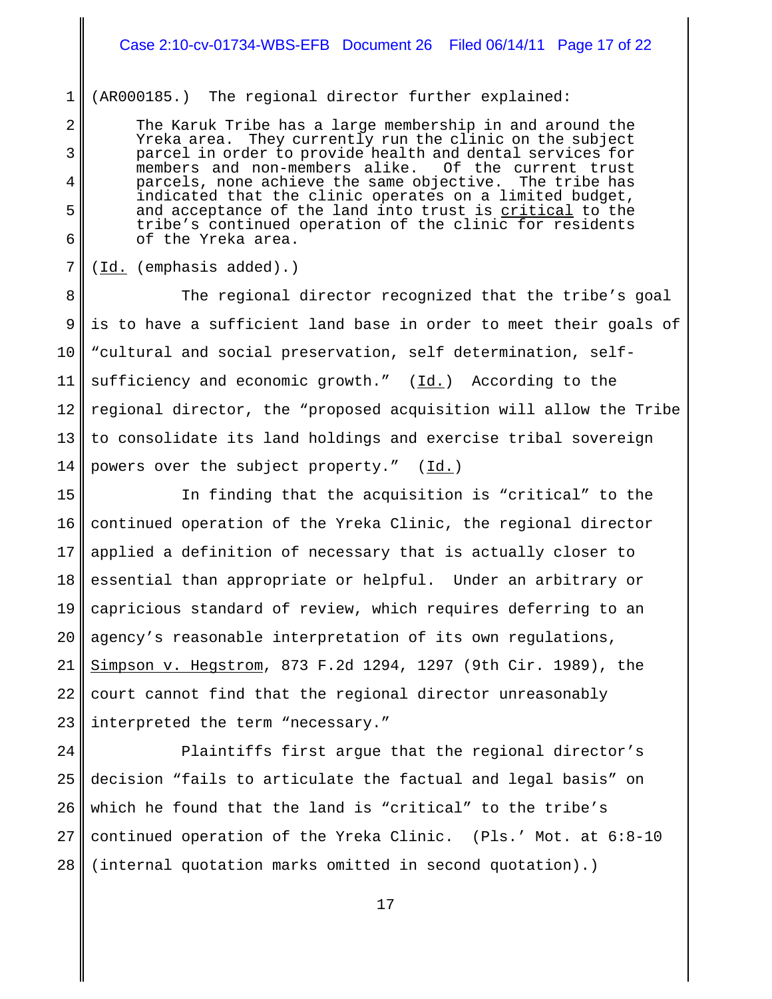### Case 2:10-cv-01734-WBS-EFB Document 26 Filed 06/14/11 Page 17 of 22

1 (AR000185.) The regional director further explained:

The Karuk Tribe has a large membership in and around the Yreka area. They currently run the clinic on the subject parcel in order to provide health and dental services for members and non-members alike. Of the current trust parcels, none achieve the same objective. The tribe has indicated that the clinic operates on a limited budget, and acceptance of the land into trust is critical to the tribe's continued operation of the clinic for residents of the Yreka area.

(Id. (emphasis added).)

2

3

4

5

6

7

8 9 10 11 12 13 14 The regional director recognized that the tribe's goal is to have a sufficient land base in order to meet their goals of "cultural and social preservation, self determination, selfsufficiency and economic growth."  $(\underline{Id.})$  According to the regional director, the "proposed acquisition will allow the Tribe to consolidate its land holdings and exercise tribal sovereign powers over the subject property."  $(\underline{Id.})$ 

15 16 17 18 19 20 21 22 23 In finding that the acquisition is "critical" to the continued operation of the Yreka Clinic, the regional director applied a definition of necessary that is actually closer to essential than appropriate or helpful. Under an arbitrary or capricious standard of review, which requires deferring to an agency's reasonable interpretation of its own regulations, Simpson v. Hegstrom, 873 F.2d 1294, 1297 (9th Cir. 1989), the court cannot find that the regional director unreasonably interpreted the term "necessary."

24 25 26 27 28 Plaintiffs first argue that the regional director's decision "fails to articulate the factual and legal basis" on which he found that the land is "critical" to the tribe's continued operation of the Yreka Clinic. (Pls.' Mot. at 6:8-10 (internal quotation marks omitted in second quotation).)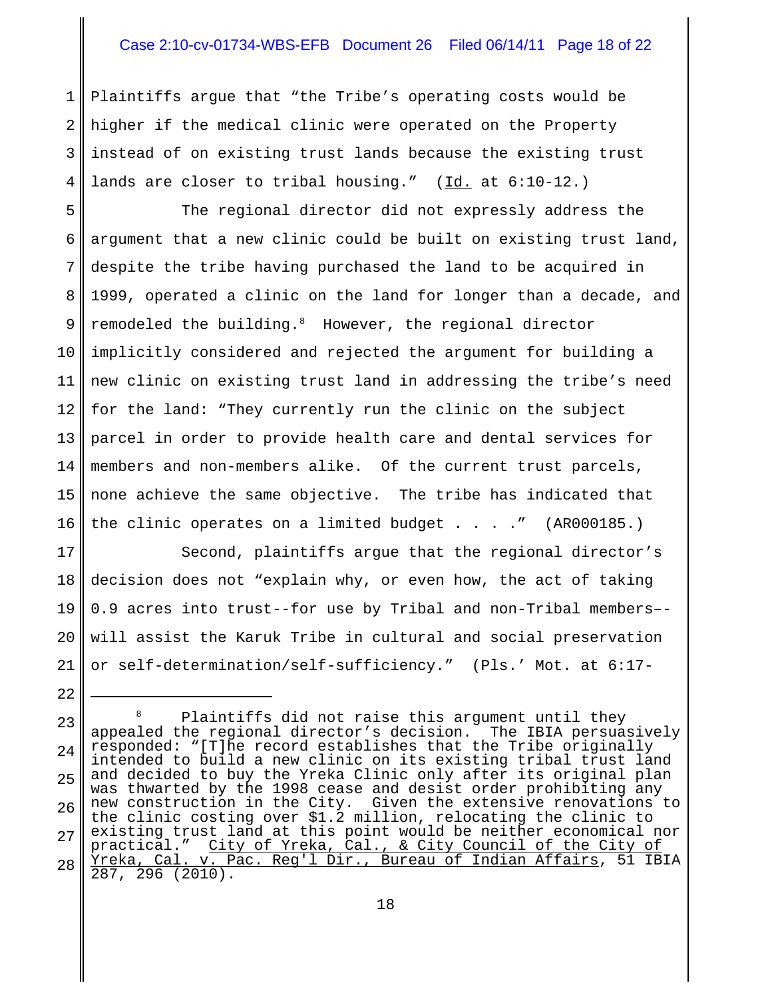### Case 2:10-cv-01734-WBS-EFB Document 26 Filed 06/14/11 Page 18 of 22

1 2 3 4 Plaintiffs argue that "the Tribe's operating costs would be higher if the medical clinic were operated on the Property instead of on existing trust lands because the existing trust lands are closer to tribal housing." (Id. at 6:10-12.)

5 6 7 8 9 10 11 12 13 14 15 16 The regional director did not expressly address the argument that a new clinic could be built on existing trust land, despite the tribe having purchased the land to be acquired in 1999, operated a clinic on the land for longer than a decade, and remodeled the building.<sup>8</sup> However, the regional director implicitly considered and rejected the argument for building a new clinic on existing trust land in addressing the tribe's need for the land: "They currently run the clinic on the subject parcel in order to provide health care and dental services for members and non-members alike. Of the current trust parcels, none achieve the same objective. The tribe has indicated that the clinic operates on a limited budget . . . ." (AR000185.)

17 18 19 20 21 Second, plaintiffs argue that the regional director's decision does not "explain why, or even how, the act of taking 0.9 acres into trust--for use by Tribal and non-Tribal members– will assist the Karuk Tribe in cultural and social preservation or self-determination/self-sufficiency." (Pls.' Mot. at 6:17-

<sup>23</sup> 24 25 26 27 28 <sup>8</sup> Plaintiffs did not raise this argument until they appealed the regional director's decision. The IBIA persuasively responded: "[T]he record establishes that the Tribe originally intended to build a new clinic on its existing tribal trust land and decided to buy the Yreka Clinic only after its original plan was thwarted by the 1998 cease and desist order prohibiting any new construction in the City. Given the extensive renovations to the clinic costing over \$1.2 million, relocating the clinic to existing trust land at this point would be neither economical nor practical." City of Yreka, Cal., & City Council of the City of Yreka, Cal. v. Pac. Reg'l Dir., Bureau of Indian Affairs, 51 IBIA 287, 296 (2010).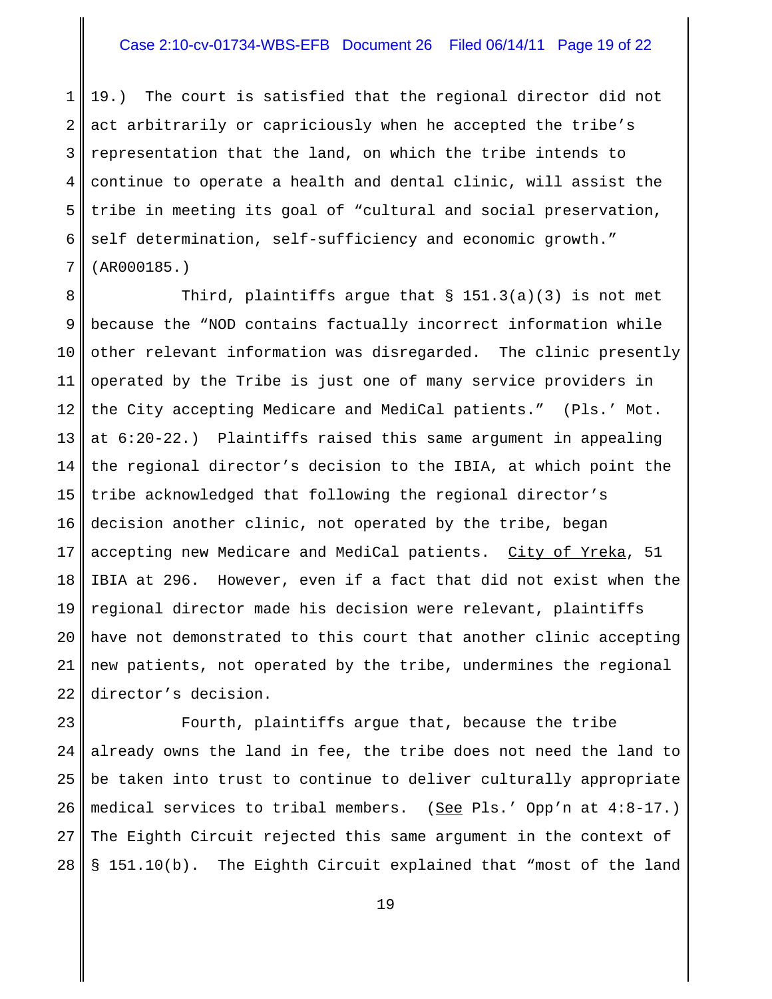### Case 2:10-cv-01734-WBS-EFB Document 26 Filed 06/14/11 Page 19 of 22

1 2 3 4 5 6 7 19.) The court is satisfied that the regional director did not act arbitrarily or capriciously when he accepted the tribe's representation that the land, on which the tribe intends to continue to operate a health and dental clinic, will assist the tribe in meeting its goal of "cultural and social preservation, self determination, self-sufficiency and economic growth." (AR000185.)

8 9 10 11 12 13 14 15 16 17 18 19 20 21 22 Third, plaintiffs argue that  $\S$  151.3(a)(3) is not met because the "NOD contains factually incorrect information while other relevant information was disregarded. The clinic presently operated by the Tribe is just one of many service providers in the City accepting Medicare and MediCal patients." (Pls.' Mot. at 6:20-22.) Plaintiffs raised this same argument in appealing the regional director's decision to the IBIA, at which point the tribe acknowledged that following the regional director's decision another clinic, not operated by the tribe, began accepting new Medicare and MediCal patients. City of Yreka, 51 IBIA at 296. However, even if a fact that did not exist when the regional director made his decision were relevant, plaintiffs have not demonstrated to this court that another clinic accepting new patients, not operated by the tribe, undermines the regional director's decision.

23 24 25 26 27 28 Fourth, plaintiffs argue that, because the tribe already owns the land in fee, the tribe does not need the land to be taken into trust to continue to deliver culturally appropriate medical services to tribal members. (See Pls.' Opp'n at  $4:8-17$ .) The Eighth Circuit rejected this same argument in the context of § 151.10(b). The Eighth Circuit explained that "most of the land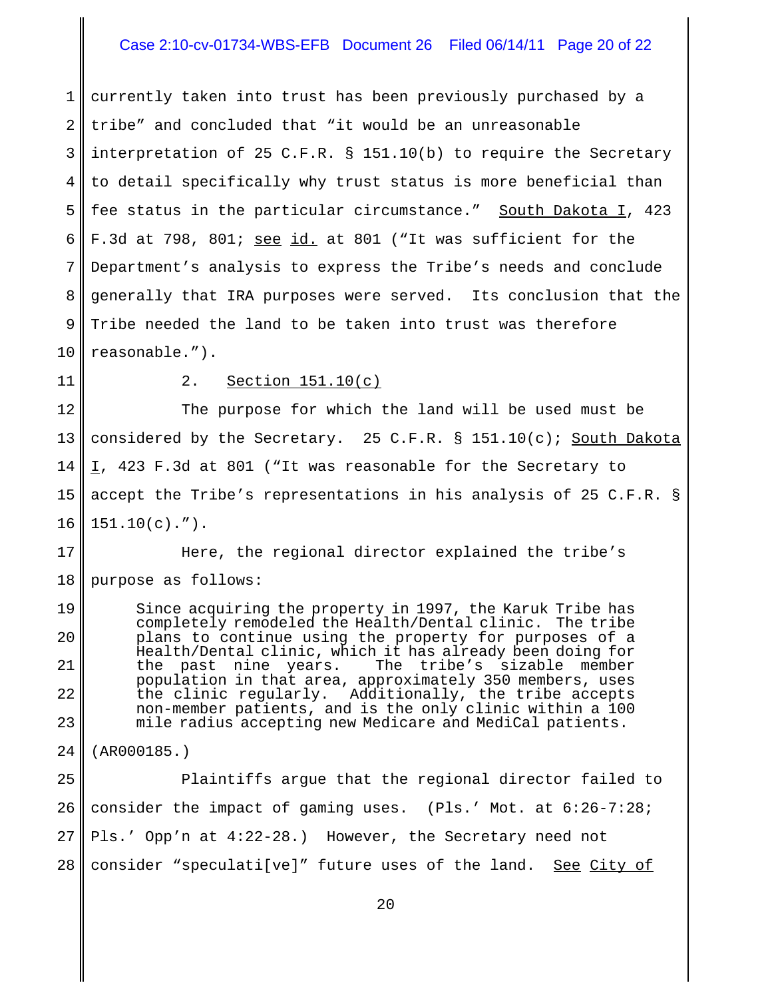### Case 2:10-cv-01734-WBS-EFB Document 26 Filed 06/14/11 Page 20 of 22

1 2 3 4 5 6 7 8 9 10 currently taken into trust has been previously purchased by a tribe" and concluded that "it would be an unreasonable interpretation of 25 C.F.R. § 151.10(b) to require the Secretary to detail specifically why trust status is more beneficial than fee status in the particular circumstance." South Dakota  $I$ , 423 F.3d at 798, 801; see id. at 801 ("It was sufficient for the Department's analysis to express the Tribe's needs and conclude generally that IRA purposes were served. Its conclusion that the Tribe needed the land to be taken into trust was therefore reasonable.").

11

19

20

21

22

23

### 2. Section 151.10(c)

12 13 14 15 16 The purpose for which the land will be used must be considered by the Secretary. 25 C.F.R. § 151.10(c); South Dakota I, 423 F.3d at 801 ("It was reasonable for the Secretary to accept the Tribe's representations in his analysis of 25 C.F.R. §  $151.10(c)$ .").

17 18 Here, the regional director explained the tribe's purpose as follows:

Since acquiring the property in 1997, the Karuk Tribe has completely remodeled the Health/Dental clinic. The tribe plans to continue using the property for purposes of a Health/Dental clinic, which it has already been doing for tribe's sizable member population in that area, approximately 350 members, uses the clinic regularly. Additionally, the tribe accepts non-member patients, and is the only clinic within a 100 mile radius accepting new Medicare and MediCal patients.

24 (AR000185.)

25 26 27 28 Plaintiffs argue that the regional director failed to consider the impact of gaming uses. (Pls.' Mot. at 6:26-7:28; Pls.' Opp'n at 4:22-28.) However, the Secretary need not consider "speculati[ve]" future uses of the land. See City of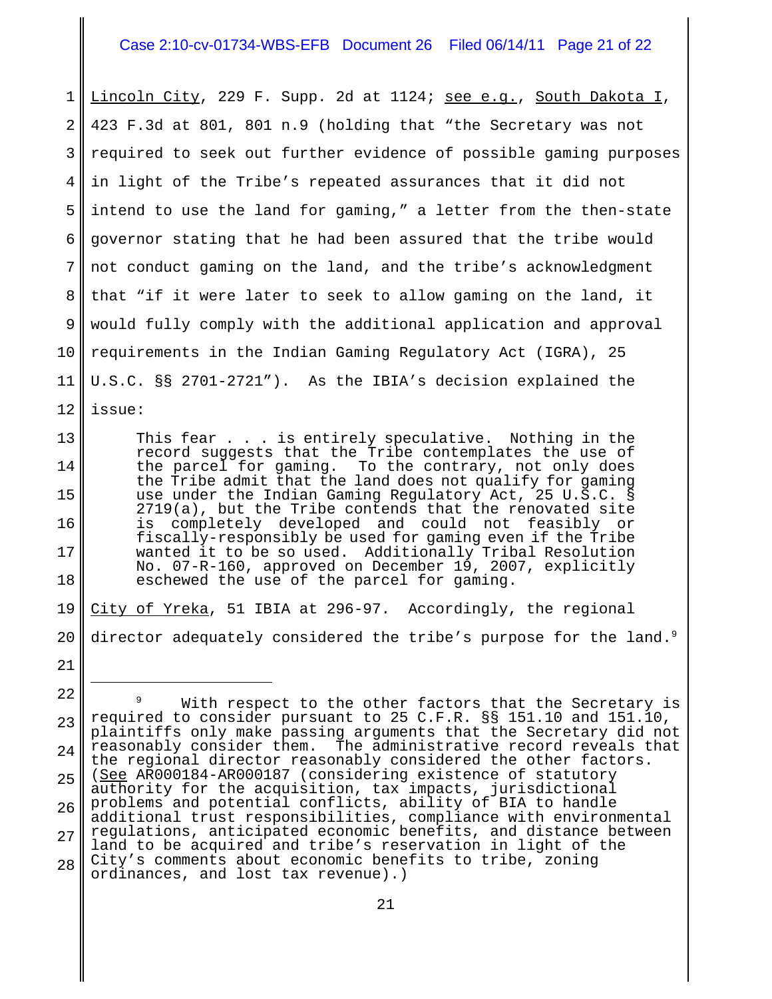### Case 2:10-cv-01734-WBS-EFB Document 26 Filed 06/14/11 Page 21 of 22

1 2 3 4 5 6 7 8 9 10 11 12 Lincoln City, 229 F. Supp. 2d at 1124; see e.g., South Dakota I, 423 F.3d at 801, 801 n.9 (holding that "the Secretary was not required to seek out further evidence of possible gaming purposes in light of the Tribe's repeated assurances that it did not intend to use the land for gaming," a letter from the then-state governor stating that he had been assured that the tribe would not conduct gaming on the land, and the tribe's acknowledgment that "if it were later to seek to allow gaming on the land, it would fully comply with the additional application and approval requirements in the Indian Gaming Regulatory Act (IGRA), 25 U.S.C. §§ 2701-2721"). As the IBIA's decision explained the issue:

This fear . . . is entirely speculative. Nothing in the record suggests that the Tribe contemplates the use of the parcel for gaming. To the contrary, not only does the Tribe admit that the land does not qualify for gaming use under the Indian Gaming Regulatory Act, 25 U.S.C. § 2719(a), but the Tribe contends that the renovated site is completely developed and could not feasibly or fiscally-responsibly be used for gaming even if the Tribe wanted it to be so used. Additionally Tribal Resolution No. 07-R-160, approved on December 19, 2007, explicitly eschewed the use of the parcel for gaming.

13

14

15

16

17

18

21

19 20 City of Yreka, 51 IBIA at 296-97. Accordingly, the regional director adequately considered the tribe's purpose for the land.<sup>9</sup>

<sup>22</sup> 23 24 25 26 27 28 With respect to the other factors that the Secretary is required to consider pursuant to 25 C.F.R. §§ 151.10 and 151.10, plaintiffs only make passing arguments that the Secretary did not reasonably consider them. The administrative record reveals that the regional director reasonably considered the other factors. (See AR000184-AR000187 (considering existence of statutory authority for the acquisition, tax impacts, jurisdictional problems and potential conflicts, ability of BIA to handle additional trust responsibilities, compliance with environmental regulations, anticipated economic benefits, and distance between land to be acquired and tribe's reservation in light of the City's comments about economic benefits to tribe, zoning ordinances, and lost tax revenue).)